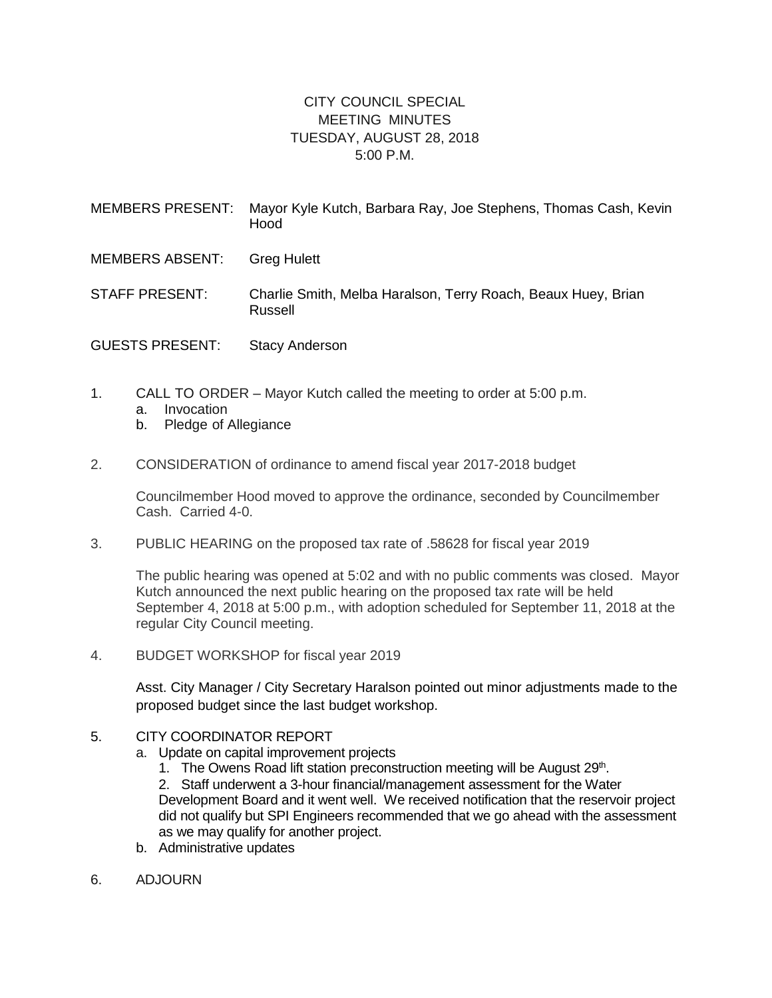## CITY COUNCIL SPECIAL MEETING MINUTES TUESDAY, AUGUST 28, 2018 5:00 P.M.

| MEMBERS PRESENT:       | Mayor Kyle Kutch, Barbara Ray, Joe Stephens, Thomas Cash, Kevin<br>Hood  |
|------------------------|--------------------------------------------------------------------------|
| <b>MEMBERS ABSENT:</b> | <b>Greg Hulett</b>                                                       |
| <b>STAFF PRESENT:</b>  | Charlie Smith, Melba Haralson, Terry Roach, Beaux Huey, Brian<br>Russell |
| <b>GUESTS PRESENT:</b> | <b>Stacy Anderson</b>                                                    |

- 1. CALL TO ORDER Mayor Kutch called the meeting to order at 5:00 p.m. a. Invocation
	- b. Pledge of Allegiance
- 2. CONSIDERATION of ordinance to amend fiscal year 2017-2018 budget

Councilmember Hood moved to approve the ordinance, seconded by Councilmember Cash. Carried 4-0.

3. PUBLIC HEARING on the proposed tax rate of .58628 for fiscal year 2019

The public hearing was opened at 5:02 and with no public comments was closed. Mayor Kutch announced the next public hearing on the proposed tax rate will be held September 4, 2018 at 5:00 p.m., with adoption scheduled for September 11, 2018 at the regular City Council meeting.

4. BUDGET WORKSHOP for fiscal year 2019

Asst. City Manager / City Secretary Haralson pointed out minor adjustments made to the proposed budget since the last budget workshop.

- 5. CITY COORDINATOR REPORT
	- a. Update on capital improvement projects
		- 1. The Owens Road lift station preconstruction meeting will be August 29<sup>th</sup>.

2. Staff underwent a 3-hour financial/management assessment for the Water Development Board and it went well. We received notification that the reservoir project did not qualify but SPI Engineers recommended that we go ahead with the assessment as we may qualify for another project.

- b. Administrative updates
- 6. ADJOURN